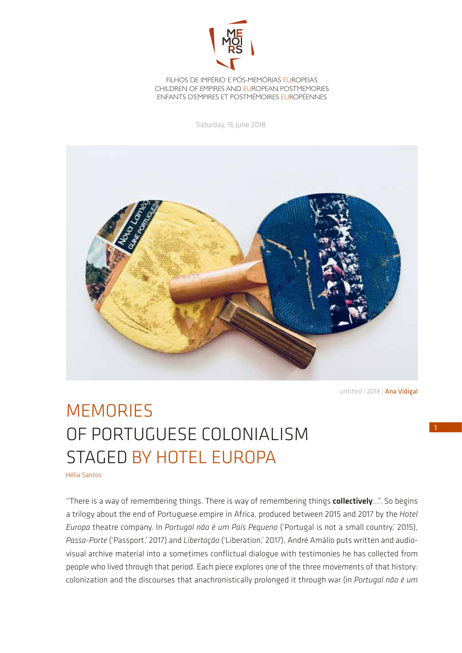

FILHOS DE IMPÉRIO E PÓS-MEMÓRIAS EUROPEIAS CHILDREN OF EMPIRES AND EUROPEAN POSTMEMORIES ENFANTS D'EMPIRES ET POSTMÉMOIRES EUROPÉENNES

Saturday, 16 June 2018



*untitled* | 2018 | Ana Vidigal

## MEMORIES OF PORTUGUESE COLONIALISM STAGED BY HOTEL EUROPA

Hélia Santos

"There is a way of remembering things. There is way of remembering things collectively...". So begins a trilogy about the end of Portuguese empire in Africa, produced between 2015 and 2017 by the *Hotel Europa* theatre company. In *Portugal não é um País Pequeno* ('Portugal is not a small country,' 2015), *Passa-Porte* ('Passport,' 2017) and *Libertação* ('Liberation,' 2017), André Amálio puts written and audiovisual archive material into a sometimes conflictual dialogue with testimonies he has collected from people who lived through that period. Each piece explores one of the three movements of that history: colonization and the discourses that anachronistically prolonged it through war (in *Portugal não é um*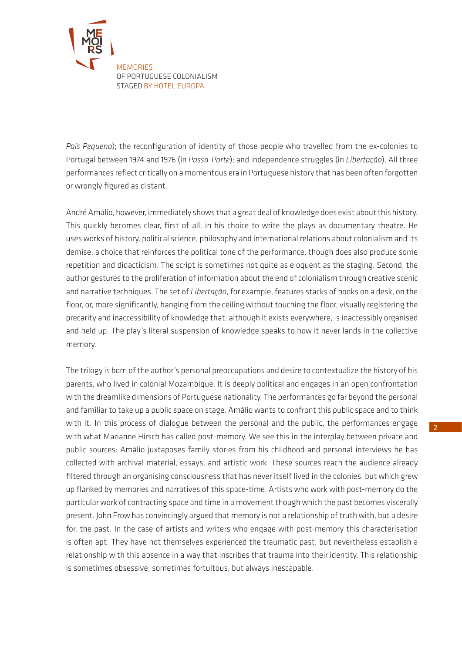

*País Pequeno*); the reconfiguration of identity of those people who travelled from the ex-colonies to Portugal between 1974 and 1976 (in *Passa-Porte*); and independence struggles (in *Libertação*). All three performances reflect critically on a momentous era in Portuguese history that has been often forgotten or wrongly figured as distant.

André Amálio, however, immediately shows that a great deal of knowledge does exist about this history. This quickly becomes clear, first of all, in his choice to write the plays as documentary theatre. He uses works of history, political science, philosophy and international relations about colonialism and its demise, a choice that reinforces the political tone of the performance, though does also produce some repetition and didacticism. The script is sometimes not quite as eloquent as the staging. Second, the author gestures to the proliferation of information about the end of colonialism through creative scenic and narrative techniques. The set of *Libertação*, for example, features stacks of books on a desk, on the floor, or, more significantly, hanging from the ceiling without touching the floor, visually registering the precarity and inaccessibility of knowledge that, although it exists everywhere, is inaccessibly organised and held up. The play's literal suspension of knowledge speaks to how it never lands in the collective memory.

The trilogy is born of the author's personal preoccupations and desire to contextualize the history of his parents, who lived in colonial Mozambique. It is deeply political and engages in an open confrontation with the dreamlike dimensions of Portuguese nationality. The performances go far beyond the personal and familiar to take up a public space on stage. Amálio wants to confront this public space and to think with it. In this process of dialogue between the personal and the public, the performances engage with what Marianne Hirsch has called post-memory. We see this in the interplay between private and public sources: Amálio juxtaposes family stories from his childhood and personal interviews he has collected with archival material, essays, and artistic work. These sources reach the audience already filtered through an organising consciousness that has never itself lived in the colonies, but which grew up flanked by memories and narratives of this space-time. Artists who work with post-memory do the particular work of contracting space and time in a movement though which the past becomes viscerally present. John Frow has convincingly argued that memory is not a relationship of truth with, but a desire for, the past. In the case of artists and writers who engage with post-memory this characterisation is often apt. They have not themselves experienced the traumatic past, but nevertheless establish a relationship with this absence in a way that inscribes that trauma into their identity. This relationship is sometimes obsessive, sometimes fortuitous, but always inescapable.